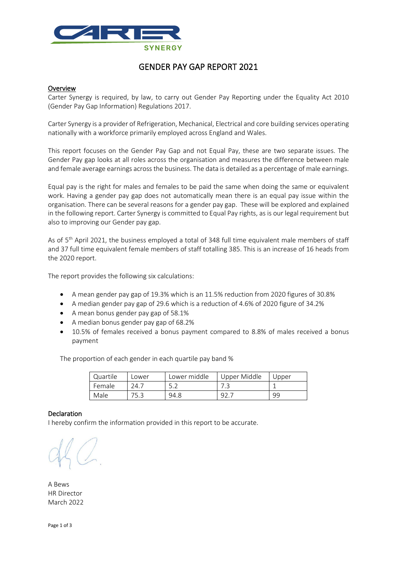

# GENDER PAY GAP REPORT 2021

#### Overview

Carter Synergy is required, by law, to carry out Gender Pay Reporting under the Equality Act 2010 (Gender Pay Gap Information) Regulations 2017.

Carter Synergy is a provider of Refrigeration, Mechanical, Electrical and core building services operating nationally with a workforce primarily employed across England and Wales.

This report focuses on the Gender Pay Gap and not Equal Pay, these are two separate issues. The Gender Pay gap looks at all roles across the organisation and measures the difference between male and female average earnings across the business. The data is detailed as a percentage of male earnings.

Equal pay is the right for males and females to be paid the same when doing the same or equivalent work. Having a gender pay gap does not automatically mean there is an equal pay issue within the organisation. There can be several reasons for a gender pay gap. These will be explored and explained in the following report. Carter Synergy is committed to Equal Pay rights, as is our legal requirement but also to improving our Gender pay gap.

As of 5<sup>th</sup> April 2021, the business employed a total of 348 full time equivalent male members of staff and 37 full time equivalent female members of staff totalling 385. This is an increase of 16 heads from the 2020 report.

The report provides the following six calculations:

- A mean gender pay gap of 19.3% which is an 11.5% reduction from 2020 figures of 30.8%
- A median gender pay gap of 29.6 which is a reduction of 4.6% of 2020 figure of 34.2%
- A mean bonus gender pay gap of 58.1%
- A median bonus gender pay gap of 68.2%
- 10.5% of females received a bonus payment compared to 8.8% of males received a bonus payment

The proportion of each gender in each quartile pay band %

| Quartile | Lower       | Lower middle | Upper Middle | Upper |
|----------|-------------|--------------|--------------|-------|
| Female   | <u>າ4.,</u> |              | د. /         |       |
| Male     | 75.3        | 94.8         | 92.          | 99    |

#### Declaration

I hereby confirm the information provided in this report to be accurate.

A Bews HR Director March 2022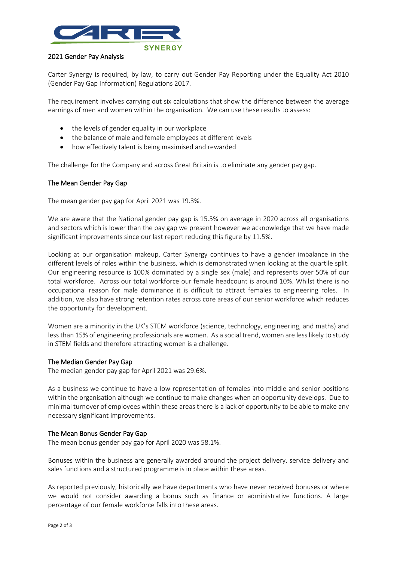

## 2021 Gender Pay Analysis

Carter Synergy is required, by law, to carry out Gender Pay Reporting under the Equality Act 2010 (Gender Pay Gap Information) Regulations 2017.

The requirement involves carrying out six calculations that show the difference between the average earnings of men and women within the organisation. We can use these results to assess:

- the levels of gender equality in our workplace
- the balance of male and female employees at different levels
- how effectively talent is being maximised and rewarded

The challenge for the Company and across Great Britain is to eliminate any gender pay gap.

## The Mean Gender Pay Gap

The mean gender pay gap for April 2021 was 19.3%.

We are aware that the National gender pay gap is 15.5% on average in 2020 across all organisations and sectors which is lower than the pay gap we present however we acknowledge that we have made significant improvements since our last report reducing this figure by 11.5%.

Looking at our organisation makeup, Carter Synergy continues to have a gender imbalance in the different levels of roles within the business, which is demonstrated when looking at the quartile split. Our engineering resource is 100% dominated by a single sex (male) and represents over 50% of our total workforce. Across our total workforce our female headcount is around 10%. Whilst there is no occupational reason for male dominance it is difficult to attract females to engineering roles. In addition, we also have strong retention rates across core areas of our senior workforce which reduces the opportunity for development.

Women are a minority in the UK's STEM workforce (science, technology, engineering, and maths) and less than 15% of engineering professionals are women. As a social trend, women are less likely to study in STEM fields and therefore attracting women is a challenge.

#### The Median Gender Pay Gap

The median gender pay gap for April 2021 was 29.6%.

As a business we continue to have a low representation of females into middle and senior positions within the organisation although we continue to make changes when an opportunity develops. Due to minimal turnover of employees within these areas there is a lack of opportunity to be able to make any necessary significant improvements.

## The Mean Bonus Gender Pay Gap

The mean bonus gender pay gap for April 2020 was 58.1%.

Bonuses within the business are generally awarded around the project delivery, service delivery and sales functions and a structured programme is in place within these areas.

As reported previously, historically we have departments who have never received bonuses or where we would not consider awarding a bonus such as finance or administrative functions. A large percentage of our female workforce falls into these areas.